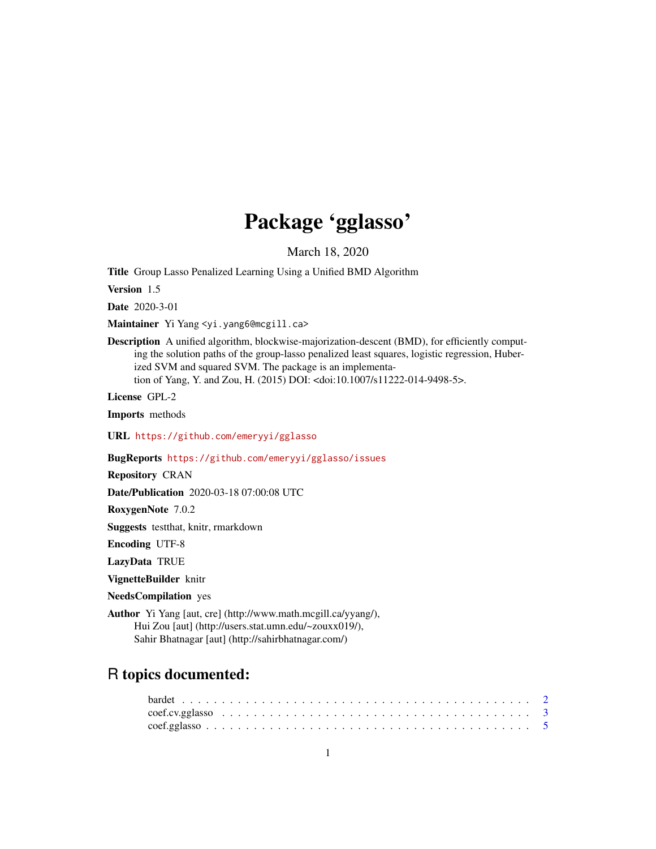# Package 'gglasso'

March 18, 2020

<span id="page-0-0"></span>Title Group Lasso Penalized Learning Using a Unified BMD Algorithm

Version 1.5

Date 2020-3-01

Maintainer Yi Yang <yi.yang6@mcgill.ca>

Description A unified algorithm, blockwise-majorization-descent (BMD), for efficiently computing the solution paths of the group-lasso penalized least squares, logistic regression, Huberized SVM and squared SVM. The package is an implementation of Yang, Y. and Zou, H. (2015) DOI: <doi:10.1007/s11222-014-9498-5>.

License GPL-2

Imports methods

URL <https://github.com/emeryyi/gglasso>

BugReports <https://github.com/emeryyi/gglasso/issues>

Repository CRAN

Date/Publication 2020-03-18 07:00:08 UTC

RoxygenNote 7.0.2

Suggests testthat, knitr, rmarkdown

Encoding UTF-8

LazyData TRUE

VignetteBuilder knitr

NeedsCompilation yes

Author Yi Yang [aut, cre] (http://www.math.mcgill.ca/yyang/), Hui Zou [aut] (http://users.stat.umn.edu/~zouxx019/), Sahir Bhatnagar [aut] (http://sahirbhatnagar.com/)

# R topics documented: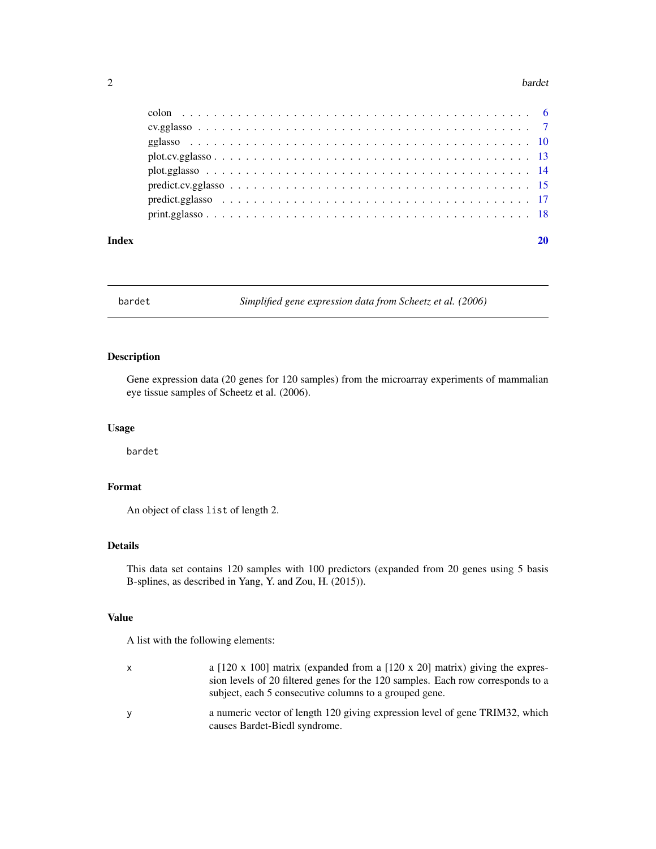#### <span id="page-1-0"></span>2 bardet bardet and the state of the state of the state of the state of the state of the state of the state of the state of the state of the state of the state of the state of the state of the state of the state of the sta

| Index |  |
|-------|--|
|       |  |
|       |  |
|       |  |
|       |  |
|       |  |
|       |  |
|       |  |
|       |  |

bardet *Simplified gene expression data from Scheetz et al. (2006)*

# Description

Gene expression data (20 genes for 120 samples) from the microarray experiments of mammalian eye tissue samples of Scheetz et al. (2006).

# Usage

bardet

# Format

An object of class list of length 2.

# Details

This data set contains 120 samples with 100 predictors (expanded from 20 genes using 5 basis B-splines, as described in Yang, Y. and Zou, H. (2015)).

# Value

A list with the following elements:

| X | a [120 x 100] matrix (expanded from a [120 x 20] matrix) giving the expres-<br>sion levels of 20 filtered genes for the 120 samples. Each row corresponds to a |
|---|----------------------------------------------------------------------------------------------------------------------------------------------------------------|
|   | subject, each 5 consecutive columns to a grouped gene.                                                                                                         |
| y | a numeric vector of length 120 giving expression level of gene TRIM32, which<br>causes Bardet-Biedl syndrome.                                                  |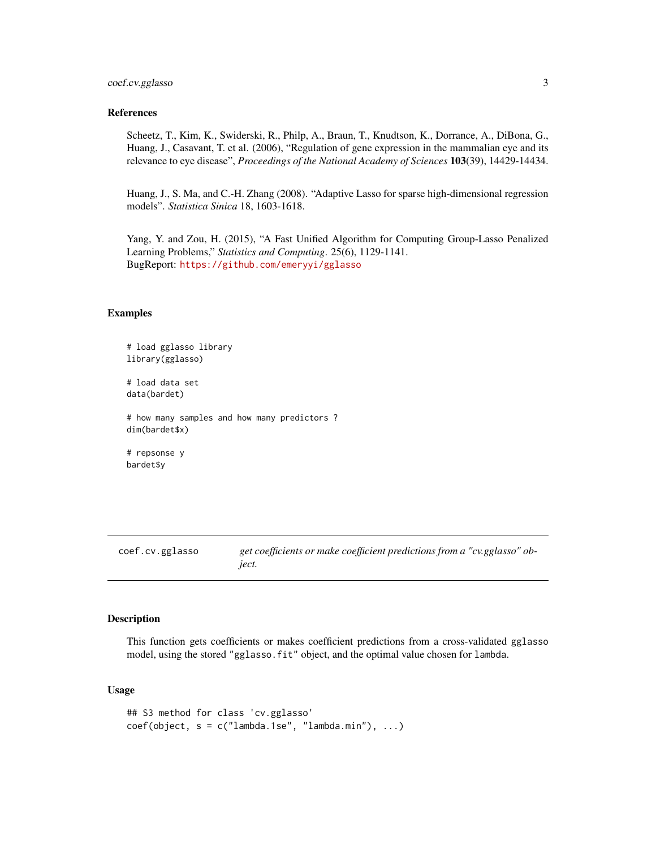#### <span id="page-2-0"></span>References

Scheetz, T., Kim, K., Swiderski, R., Philp, A., Braun, T., Knudtson, K., Dorrance, A., DiBona, G., Huang, J., Casavant, T. et al. (2006), "Regulation of gene expression in the mammalian eye and its relevance to eye disease", *Proceedings of the National Academy of Sciences* 103(39), 14429-14434.

Huang, J., S. Ma, and C.-H. Zhang (2008). "Adaptive Lasso for sparse high-dimensional regression models". *Statistica Sinica* 18, 1603-1618.

Yang, Y. and Zou, H. (2015), "A Fast Unified Algorithm for Computing Group-Lasso Penalized Learning Problems," *Statistics and Computing*. 25(6), 1129-1141. BugReport: <https://github.com/emeryyi/gglasso>

#### Examples

```
# load gglasso library
library(gglasso)
# load data set
```
data(bardet)

# how many samples and how many predictors ? dim(bardet\$x)

# repsonse y bardet\$y

<span id="page-2-1"></span>coef.cv.gglasso *get coefficients or make coefficient predictions from a "cv.gglasso" object.*

# **Description**

This function gets coefficients or makes coefficient predictions from a cross-validated gglasso model, using the stored "gglasso.fit" object, and the optimal value chosen for lambda.

#### Usage

```
## S3 method for class 'cv.gglasso'
coef(object, s = c("lambda.1se", "lambda.min"), ...)
```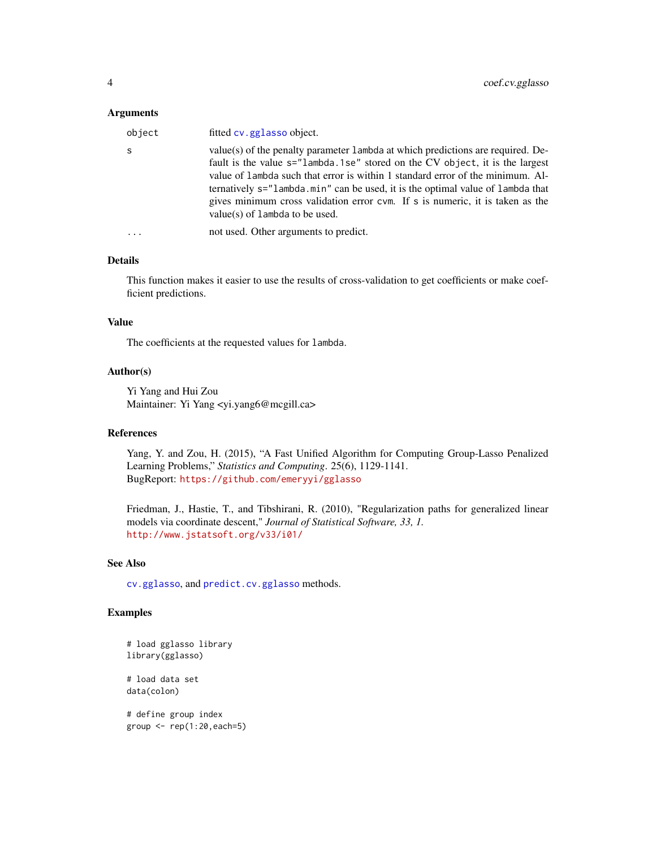#### <span id="page-3-0"></span>Arguments

| object | fitted cv. gglasso object.                                                                                                                                                                                                                                                                                                                                                                                                                                |
|--------|-----------------------------------------------------------------------------------------------------------------------------------------------------------------------------------------------------------------------------------------------------------------------------------------------------------------------------------------------------------------------------------------------------------------------------------------------------------|
| -S     | value(s) of the penalty parameter 1 ambda at which predictions are required. De-<br>fault is the value s="lambda.1se" stored on the CV object, it is the largest<br>value of lambda such that error is within 1 standard error of the minimum. Al-<br>ternatively s="lambda.min" can be used, it is the optimal value of lambda that<br>gives minimum cross validation error cvm. If s is numeric, it is taken as the<br>$value(s)$ of lambda to be used. |
|        | not used. Other arguments to predict.                                                                                                                                                                                                                                                                                                                                                                                                                     |
|        |                                                                                                                                                                                                                                                                                                                                                                                                                                                           |

# Details

This function makes it easier to use the results of cross-validation to get coefficients or make coefficient predictions.

#### Value

The coefficients at the requested values for lambda.

# Author(s)

Yi Yang and Hui Zou Maintainer: Yi Yang <yi.yang6@mcgill.ca>

#### References

Yang, Y. and Zou, H. (2015), "A Fast Unified Algorithm for Computing Group-Lasso Penalized Learning Problems," *Statistics and Computing*. 25(6), 1129-1141. BugReport: <https://github.com/emeryyi/gglasso>

Friedman, J., Hastie, T., and Tibshirani, R. (2010), "Regularization paths for generalized linear models via coordinate descent," *Journal of Statistical Software, 33, 1.* <http://www.jstatsoft.org/v33/i01/>

#### See Also

[cv.gglasso](#page-6-1), and [predict.cv.gglasso](#page-14-1) methods.

#### Examples

```
# load gglasso library
library(gglasso)
# load data set
data(colon)
# define group index
group < -rep(1:20, each=5)
```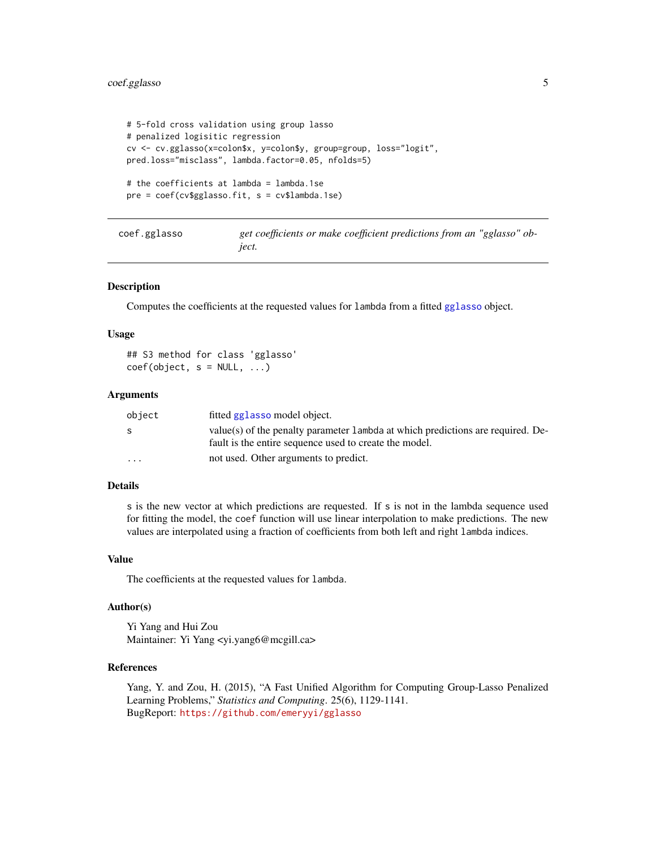# <span id="page-4-0"></span>coef.gglasso 5

```
# 5-fold cross validation using group lasso
# penalized logisitic regression
cv <- cv.gglasso(x=colon$x, y=colon$y, group=group, loss="logit",
pred.loss="misclass", lambda.factor=0.05, nfolds=5)
# the coefficients at lambda = lambda.1se
pre = coef(cv$gglasso.fit, s = cv$lambda.1se)
```

| coef.gglasso | get coefficients or make coefficient predictions from an "gglasso" ob- |  |
|--------------|------------------------------------------------------------------------|--|
|              | <i>iect.</i>                                                           |  |

#### Description

Computes the coefficients at the requested values for lambda from a fitted [gglasso](#page-9-1) object.

#### Usage

## S3 method for class 'gglasso'  $coef(object, s = NULL, ...)$ 

# Arguments

| object   | fitted gglasso model object.                                                                                                               |
|----------|--------------------------------------------------------------------------------------------------------------------------------------------|
| -S       | value(s) of the penalty parameter 1 ambda at which predictions are required. De-<br>fault is the entire sequence used to create the model. |
| $\cdots$ | not used. Other arguments to predict.                                                                                                      |

# Details

s is the new vector at which predictions are requested. If s is not in the lambda sequence used for fitting the model, the coef function will use linear interpolation to make predictions. The new values are interpolated using a fraction of coefficients from both left and right lambda indices.

#### Value

The coefficients at the requested values for lambda.

#### Author(s)

Yi Yang and Hui Zou Maintainer: Yi Yang <yi.yang6@mcgill.ca>

#### References

Yang, Y. and Zou, H. (2015), "A Fast Unified Algorithm for Computing Group-Lasso Penalized Learning Problems," *Statistics and Computing*. 25(6), 1129-1141. BugReport: <https://github.com/emeryyi/gglasso>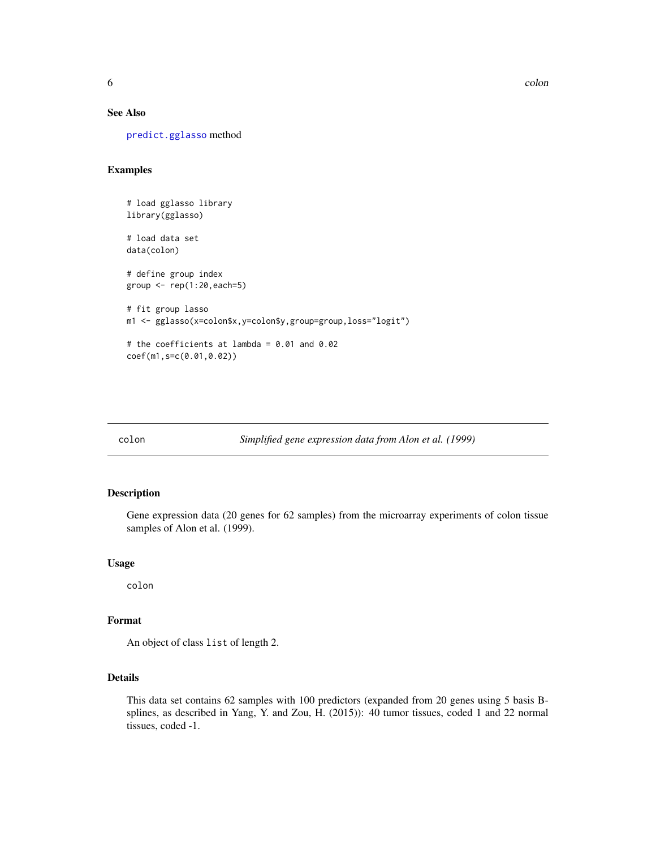# See Also

[predict.gglasso](#page-16-1) method

# Examples

```
# load gglasso library
library(gglasso)
# load data set
data(colon)
# define group index
group \leftarrow rep(1:20, each=5)# fit group lasso
m1 <- gglasso(x=colon$x,y=colon$y,group=group,loss="logit")
# the coefficients at lambda = 0.01 and 0.02
coef(m1,s=c(0.01,0.02))
```
colon *Simplified gene expression data from Alon et al. (1999)*

#### Description

Gene expression data (20 genes for 62 samples) from the microarray experiments of colon tissue samples of Alon et al. (1999).

# Usage

colon

# Format

An object of class list of length 2.

# Details

This data set contains 62 samples with 100 predictors (expanded from 20 genes using 5 basis Bsplines, as described in Yang, Y. and Zou, H. (2015)): 40 tumor tissues, coded 1 and 22 normal tissues, coded -1.

<span id="page-5-0"></span>6 colon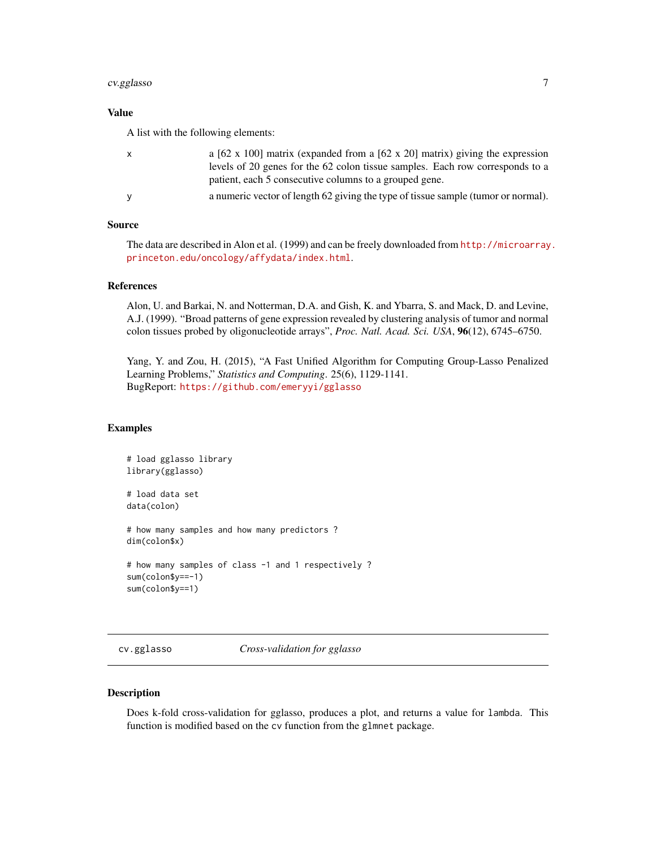# <span id="page-6-0"></span>cv.gglasso 7

# Value

A list with the following elements:

|   | a [62 x 100] matrix (expanded from a [62 x 20] matrix) giving the expression      |
|---|-----------------------------------------------------------------------------------|
|   | levels of 20 genes for the 62 colon tissue samples. Each row corresponds to a     |
|   | patient, each 5 consecutive columns to a grouped gene.                            |
| v | a numeric vector of length 62 giving the type of tissue sample (tumor or normal). |
|   |                                                                                   |

# Source

The data are described in Alon et al. (1999) and can be freely downloaded from [http://microarray](http://microarray.princeton.edu/oncology/affydata/index.html). [princeton.edu/oncology/affydata/index.html](http://microarray.princeton.edu/oncology/affydata/index.html).

#### References

Alon, U. and Barkai, N. and Notterman, D.A. and Gish, K. and Ybarra, S. and Mack, D. and Levine, A.J. (1999). "Broad patterns of gene expression revealed by clustering analysis of tumor and normal colon tissues probed by oligonucleotide arrays", *Proc. Natl. Acad. Sci. USA*, 96(12), 6745–6750.

Yang, Y. and Zou, H. (2015), "A Fast Unified Algorithm for Computing Group-Lasso Penalized Learning Problems," *Statistics and Computing*. 25(6), 1129-1141. BugReport: <https://github.com/emeryyi/gglasso>

#### Examples

```
# load gglasso library
library(gglasso)
# load data set
data(colon)
# how many samples and how many predictors ?
dim(colon$x)
# how many samples of class -1 and 1 respectively ?
sum(colon$y==-1)
sum(colon$y==1)
```
<span id="page-6-1"></span>cv.gglasso *Cross-validation for gglasso*

#### Description

Does k-fold cross-validation for gglasso, produces a plot, and returns a value for lambda. This function is modified based on the cv function from the glmnet package.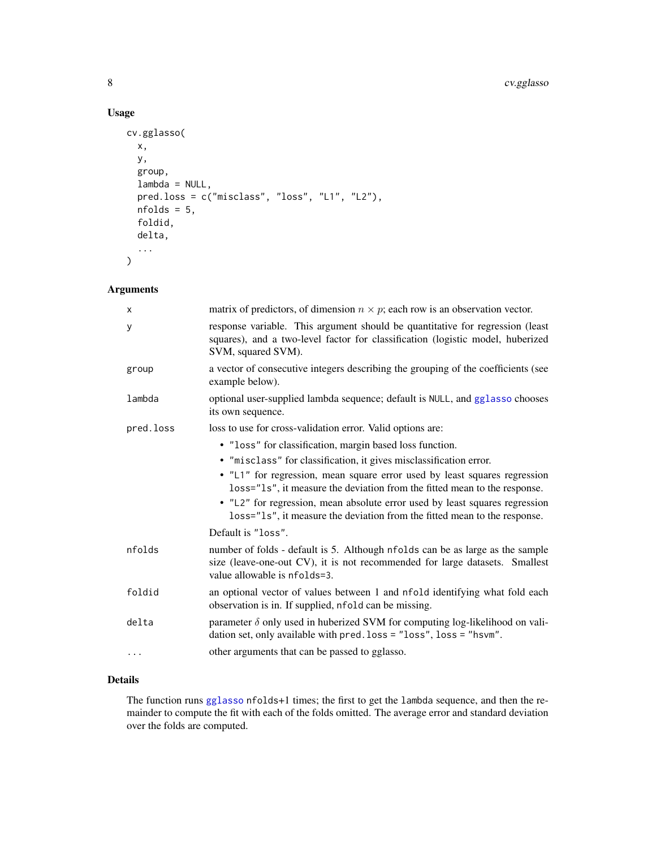# Usage

```
cv.gglasso(
  x,
  y,
  group,
  lambda = NULL,pred.loss = c("misclass", "loss", "L1", "L2"),
  nfolds = 5,
  foldid,
  delta,
  ...
)
```
# Arguments

| X         | matrix of predictors, of dimension $n \times p$ ; each row is an observation vector.                                                                                                         |
|-----------|----------------------------------------------------------------------------------------------------------------------------------------------------------------------------------------------|
| У         | response variable. This argument should be quantitative for regression (least<br>squares), and a two-level factor for classification (logistic model, huberized<br>SVM, squared SVM).        |
| group     | a vector of consecutive integers describing the grouping of the coefficients (see<br>example below).                                                                                         |
| lambda    | optional user-supplied lambda sequence; default is NULL, and gglasso chooses<br>its own sequence.                                                                                            |
| pred.loss | loss to use for cross-validation error. Valid options are:                                                                                                                                   |
|           | • "loss" for classification, margin based loss function.                                                                                                                                     |
|           | · "misclass" for classification, it gives misclassification error.                                                                                                                           |
|           | · "L1" for regression, mean square error used by least squares regression<br>loss="1s", it measure the deviation from the fitted mean to the response.                                       |
|           | • "L2" for regression, mean absolute error used by least squares regression<br>loss="ls", it measure the deviation from the fitted mean to the response.                                     |
|           | Default is "loss".                                                                                                                                                                           |
| nfolds    | number of folds - default is 5. Although nfolds can be as large as the sample<br>size (leave-one-out CV), it is not recommended for large datasets. Smallest<br>value allowable is nfolds=3. |
| foldid    | an optional vector of values between 1 and nfold identifying what fold each<br>observation is in. If supplied, nfold can be missing.                                                         |
| delta     | parameter $\delta$ only used in huberized SVM for computing log-likelihood on vali-<br>dation set, only available with pred. loss = "loss", loss = "hsvm".                                   |
| .         | other arguments that can be passed to gglasso.                                                                                                                                               |
|           |                                                                                                                                                                                              |

# Details

The function runs [gglasso](#page-9-1) nfolds+1 times; the first to get the lambda sequence, and then the remainder to compute the fit with each of the folds omitted. The average error and standard deviation over the folds are computed.

<span id="page-7-0"></span>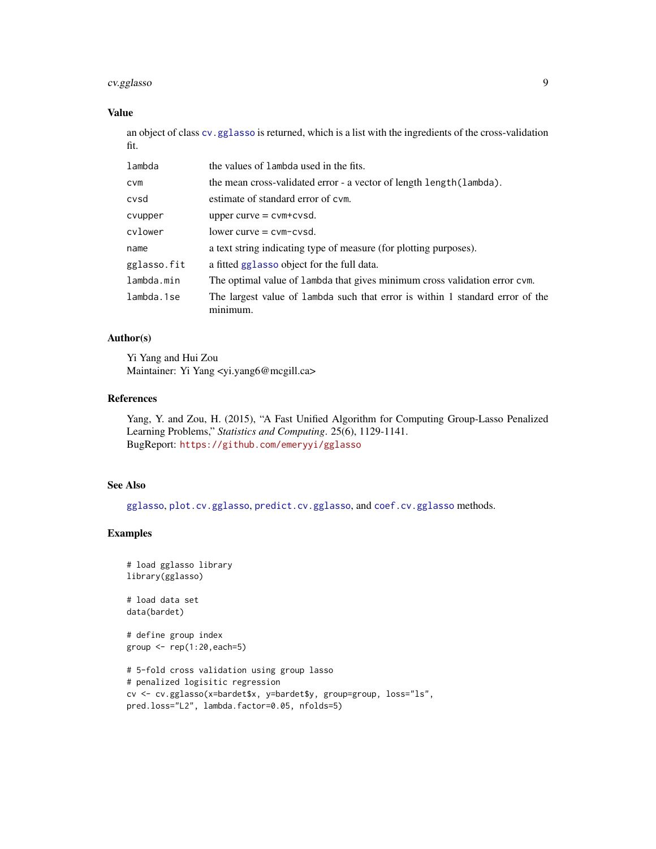# <span id="page-8-0"></span>cv.gglasso 9

#### Value

an object of class [cv.gglasso](#page-6-1) is returned, which is a list with the ingredients of the cross-validation fit.

| lambda      | the values of lambda used in the fits.                                                    |
|-------------|-------------------------------------------------------------------------------------------|
| <b>CVM</b>  | the mean cross-validated error - a vector of length length (lambda).                      |
| cvsd        | estimate of standard error of cym.                                                        |
| cvupper     | upper curve $=$ cvm+cvsd.                                                                 |
| cvlower     | $lower curve = cvm-cvsd.$                                                                 |
| name        | a text string indicating type of measure (for plotting purposes).                         |
| gglasso.fit | a fitted gglasso object for the full data.                                                |
| lambda.min  | The optimal value of lambda that gives minimum cross validation error cvm.                |
| lambda.1se  | The largest value of lambda such that error is within 1 standard error of the<br>mınımum. |

# Author(s)

Yi Yang and Hui Zou Maintainer: Yi Yang <yi.yang6@mcgill.ca>

#### References

Yang, Y. and Zou, H. (2015), "A Fast Unified Algorithm for Computing Group-Lasso Penalized Learning Problems," *Statistics and Computing*. 25(6), 1129-1141. BugReport: <https://github.com/emeryyi/gglasso>

# See Also

[gglasso](#page-9-1), [plot.cv.gglasso](#page-12-1), [predict.cv.gglasso](#page-14-1), and [coef.cv.gglasso](#page-2-1) methods.

#### Examples

```
# load gglasso library
library(gglasso)
```
# load data set data(bardet)

```
# define group index
group \leftarrow rep(1:20, each=5)
```

```
# 5-fold cross validation using group lasso
# penalized logisitic regression
cv <- cv.gglasso(x=bardet$x, y=bardet$y, group=group, loss="ls",
pred.loss="L2", lambda.factor=0.05, nfolds=5)
```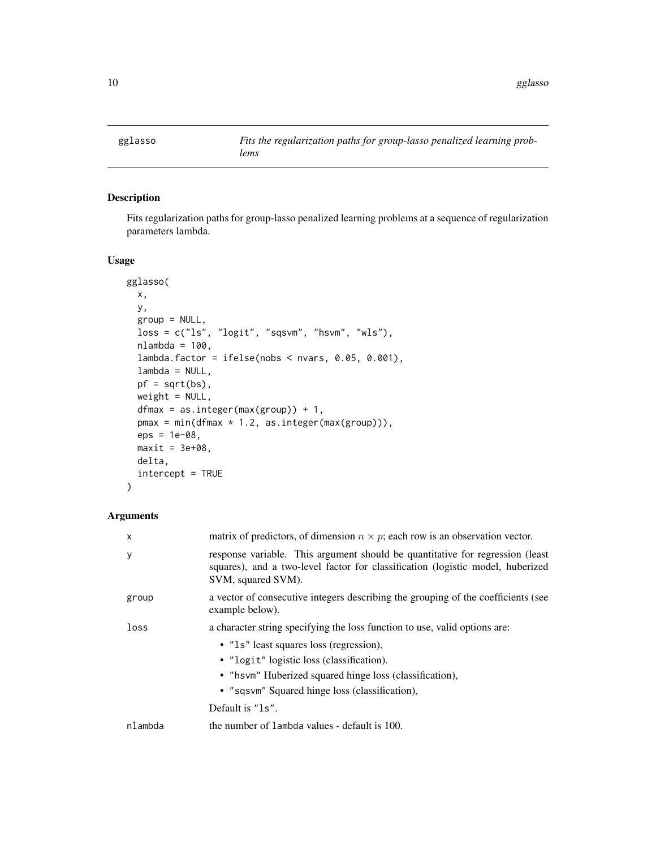<span id="page-9-1"></span><span id="page-9-0"></span>

# Description

Fits regularization paths for group-lasso penalized learning problems at a sequence of regularization parameters lambda.

#### Usage

```
gglasso(
  x,
 y,
  group = NULL,loss = c("ls", "logit", "sqsvm", "hsvm", "wls"),
  nlambda = 100,
  lambda.factor = ifelse(nobs < nvars, 0.05, 0.001),
  lambda = NULL,
 pf = sqrt(bs),
 weight = NULL,
  dfmax = as.integer(max(group)) + 1,
 pmax = min(dfmax * 1.2, as.integer(max(group))),eps = 1e-08,
 maxit = 3e+08,
 delta,
  intercept = TRUE
)
```
# Arguments

| $\mathsf{x}$ | matrix of predictors, of dimension $n \times p$ ; each row is an observation vector.                                                                                                   |
|--------------|----------------------------------------------------------------------------------------------------------------------------------------------------------------------------------------|
| У            | response variable. This argument should be quantitative for regression (least)<br>squares), and a two-level factor for classification (logistic model, huberized<br>SVM, squared SVM). |
| group        | a vector of consecutive integers describing the grouping of the coefficients (see<br>example below).                                                                                   |
| loss         | a character string specifying the loss function to use, valid options are:                                                                                                             |
|              | • "1s" least squares loss (regression),                                                                                                                                                |
|              | • "logit" logistic loss (classification).                                                                                                                                              |
|              | • "hsvm" Huberized squared hinge loss (classification),                                                                                                                                |
|              | • "sqsvm" Squared hinge loss (classification),                                                                                                                                         |
|              | Default is "1s".                                                                                                                                                                       |
| nlambda      | the number of lambda values - default is 100.                                                                                                                                          |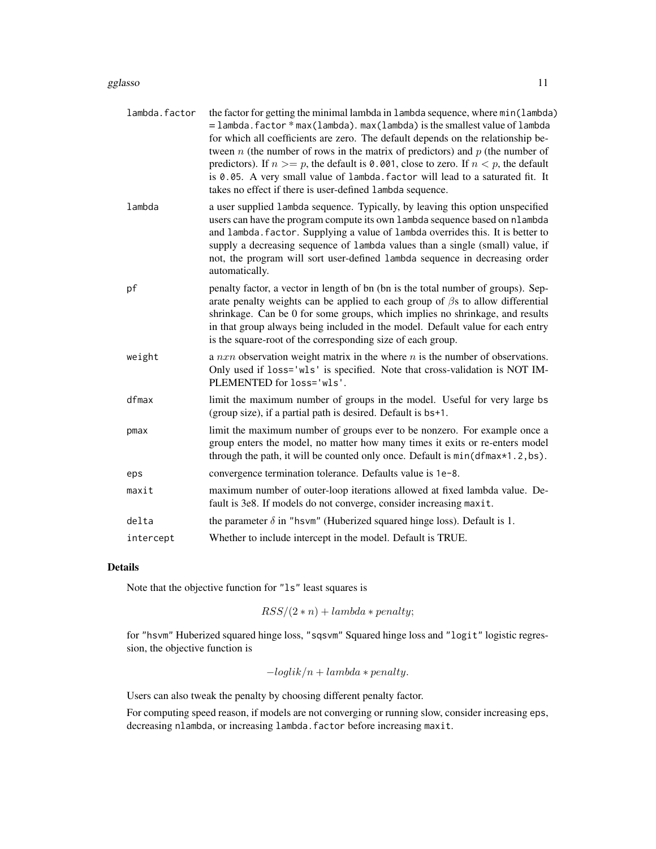#### gglasso and the set of the set of the set of the set of the set of the set of the set of the set of the set of the set of the set of the set of the set of the set of the set of the set of the set of the set of the set of t

| lambda.factor | the factor for getting the minimal lambda in lambda sequence, where min(lambda)<br>$=$ lambda. factor $*$ max (lambda). max (lambda) is the smallest value of lambda<br>for which all coefficients are zero. The default depends on the relationship be-<br>tween $n$ (the number of rows in the matrix of predictors) and $p$ (the number of<br>predictors). If $n \ge p$ , the default is 0.001, close to zero. If $n < p$ , the default<br>is 0.05. A very small value of lambda. factor will lead to a saturated fit. It<br>takes no effect if there is user-defined lambda sequence. |
|---------------|-------------------------------------------------------------------------------------------------------------------------------------------------------------------------------------------------------------------------------------------------------------------------------------------------------------------------------------------------------------------------------------------------------------------------------------------------------------------------------------------------------------------------------------------------------------------------------------------|
| lambda        | a user supplied lambda sequence. Typically, by leaving this option unspecified<br>users can have the program compute its own lambda sequence based on nlambda<br>and lambda. factor. Supplying a value of lambda overrides this. It is better to<br>supply a decreasing sequence of lambda values than a single (small) value, if<br>not, the program will sort user-defined lambda sequence in decreasing order<br>automatically.                                                                                                                                                        |
| pf            | penalty factor, a vector in length of bn (bn is the total number of groups). Sep-<br>arate penalty weights can be applied to each group of $\beta$ s to allow differential<br>shrinkage. Can be 0 for some groups, which implies no shrinkage, and results<br>in that group always being included in the model. Default value for each entry<br>is the square-root of the corresponding size of each group.                                                                                                                                                                               |
| weight        | a $nxn$ observation weight matrix in the where $n$ is the number of observations.<br>Only used if loss='wls' is specified. Note that cross-validation is NOT IM-<br>PLEMENTED for loss='wls'.                                                                                                                                                                                                                                                                                                                                                                                             |
| dfmax         | limit the maximum number of groups in the model. Useful for very large bs<br>(group size), if a partial path is desired. Default is bs+1.                                                                                                                                                                                                                                                                                                                                                                                                                                                 |
| pmax          | limit the maximum number of groups ever to be nonzero. For example once a<br>group enters the model, no matter how many times it exits or re-enters model<br>through the path, it will be counted only once. Default is min(dfmax*1.2,bs).                                                                                                                                                                                                                                                                                                                                                |
| eps           | convergence termination tolerance. Defaults value is 1e-8.                                                                                                                                                                                                                                                                                                                                                                                                                                                                                                                                |
| maxit         | maximum number of outer-loop iterations allowed at fixed lambda value. De-<br>fault is 3e8. If models do not converge, consider increasing maxit.                                                                                                                                                                                                                                                                                                                                                                                                                                         |
| delta         | the parameter $\delta$ in "hsvm" (Huberized squared hinge loss). Default is 1.                                                                                                                                                                                                                                                                                                                                                                                                                                                                                                            |
| intercept     | Whether to include intercept in the model. Default is TRUE.                                                                                                                                                                                                                                                                                                                                                                                                                                                                                                                               |

# Details

Note that the objective function for "ls" least squares is

$$
RSS/(2*n) + lambda * penalty;
$$

for "hsvm" Huberized squared hinge loss, "sqsvm" Squared hinge loss and "logit" logistic regression, the objective function is

$$
-loglik/n + lambda * penalty.
$$

Users can also tweak the penalty by choosing different penalty factor.

For computing speed reason, if models are not converging or running slow, consider increasing eps, decreasing nlambda, or increasing lambda.factor before increasing maxit.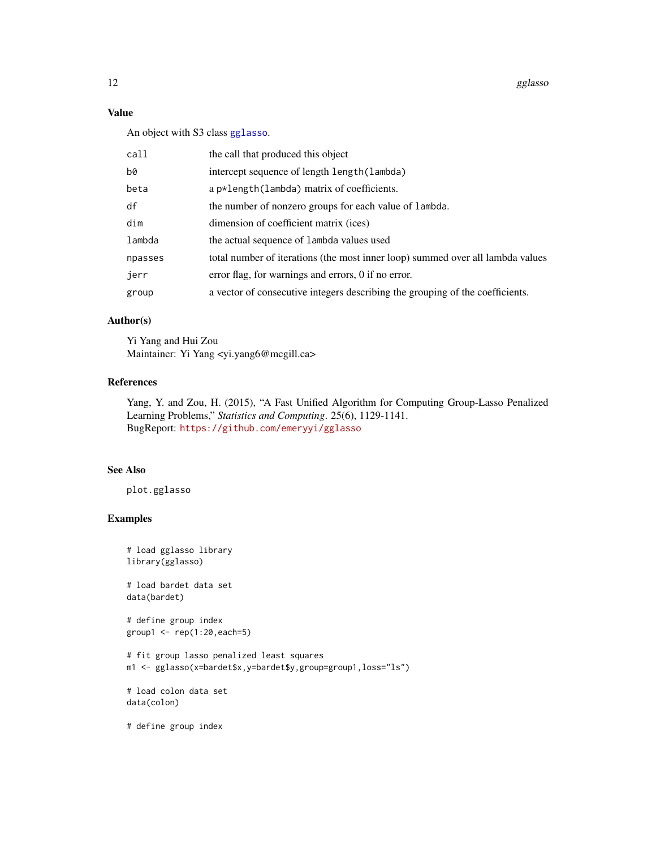12 gglasso

# Value

An object with S3 class [gglasso](#page-9-1).

| call    | the call that produced this object                                             |
|---------|--------------------------------------------------------------------------------|
| b0      | intercept sequence of length length (lambda)                                   |
| beta    | a p*length(lambda) matrix of coefficients.                                     |
| df      | the number of nonzero groups for each value of lambda.                         |
| dim     | dimension of coefficient matrix (ices)                                         |
| lambda  | the actual sequence of lambda values used                                      |
| npasses | total number of iterations (the most inner loop) summed over all lambda values |
| jerr    | error flag, for warnings and errors, 0 if no error.                            |
| group   | a vector of consecutive integers describing the grouping of the coefficients.  |
|         |                                                                                |

# Author(s)

Yi Yang and Hui Zou Maintainer: Yi Yang <yi.yang6@mcgill.ca>

# References

Yang, Y. and Zou, H. (2015), "A Fast Unified Algorithm for Computing Group-Lasso Penalized Learning Problems," *Statistics and Computing*. 25(6), 1129-1141. BugReport: <https://github.com/emeryyi/gglasso>

#### See Also

plot.gglasso

# Examples

```
# load gglasso library
library(gglasso)
# load bardet data set
data(bardet)
# define group index
group1 <- rep(1:20,each=5)
# fit group lasso penalized least squares
m1 <- gglasso(x=bardet$x,y=bardet$y,group=group1,loss="ls")
# load colon data set
data(colon)
# define group index
```
<span id="page-11-0"></span>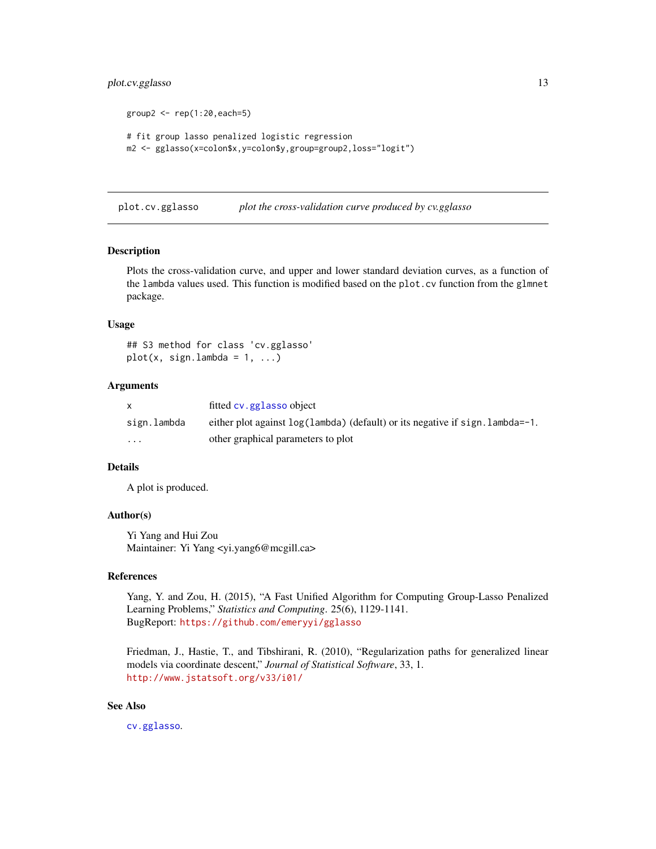# <span id="page-12-0"></span>plot.cv.gglasso 13

```
group2 < -rep(1:20, each=5)# fit group lasso penalized logistic regression
m2 <- gglasso(x=colon$x,y=colon$y,group=group2,loss="logit")
```
<span id="page-12-1"></span>plot.cv.gglasso *plot the cross-validation curve produced by cv.gglasso*

#### Description

Plots the cross-validation curve, and upper and lower standard deviation curves, as a function of the lambda values used. This function is modified based on the plot.cv function from the glmnet package.

#### Usage

## S3 method for class 'cv.gglasso'  $plot(x, sign.lambda = 1, ...)$ 

#### Arguments

| $\mathsf{x}$ | fitted cv. gglasso object                                                    |
|--------------|------------------------------------------------------------------------------|
| sign.lambda  | either plot against $log(1)$ (default) or its negative if sign. lambda = -1. |
| $\cdots$     | other graphical parameters to plot                                           |

#### Details

A plot is produced.

#### Author(s)

Yi Yang and Hui Zou Maintainer: Yi Yang <yi.yang6@mcgill.ca>

#### References

Yang, Y. and Zou, H. (2015), "A Fast Unified Algorithm for Computing Group-Lasso Penalized Learning Problems," *Statistics and Computing*. 25(6), 1129-1141. BugReport: <https://github.com/emeryyi/gglasso>

Friedman, J., Hastie, T., and Tibshirani, R. (2010), "Regularization paths for generalized linear models via coordinate descent," *Journal of Statistical Software*, 33, 1. <http://www.jstatsoft.org/v33/i01/>

#### See Also

[cv.gglasso](#page-6-1).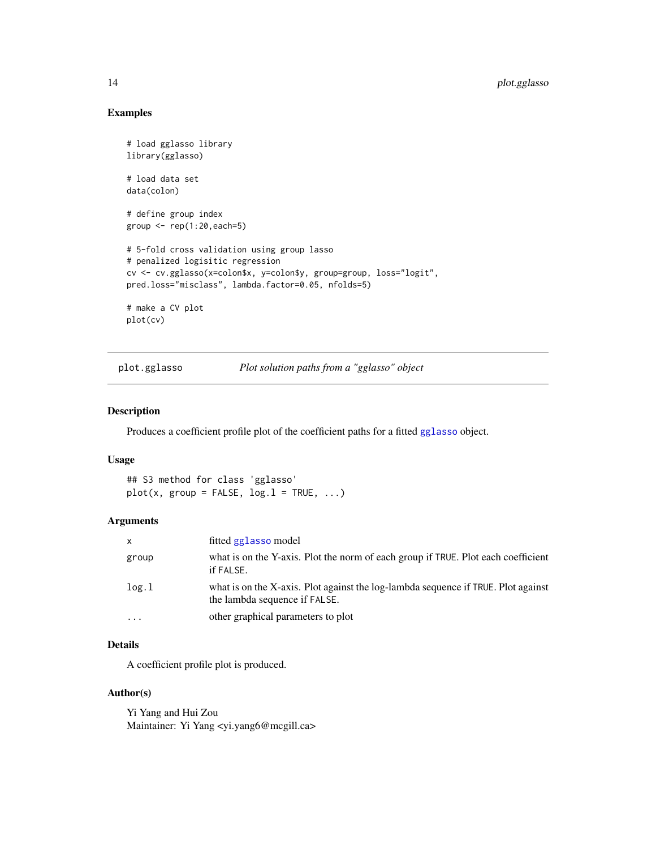# Examples

```
# load gglasso library
library(gglasso)
# load data set
data(colon)
# define group index
group \leftarrow rep(1:20, each=5)# 5-fold cross validation using group lasso
# penalized logisitic regression
cv <- cv.gglasso(x=colon$x, y=colon$y, group=group, loss="logit",
pred.loss="misclass", lambda.factor=0.05, nfolds=5)
# make a CV plot
plot(cv)
```
plot.gglasso *Plot solution paths from a "gglasso" object*

#### Description

Produces a coefficient profile plot of the coefficient paths for a fitted [gglasso](#page-9-1) object.

# Usage

## S3 method for class 'gglasso'  $plot(x, group = FALSE, log.1 = TRUE, ...)$ 

#### Arguments

| $\mathsf{x}$ | fitted gglasso model                                                                                               |
|--------------|--------------------------------------------------------------------------------------------------------------------|
| group        | what is on the Y-axis. Plot the norm of each group if TRUE. Plot each coefficient<br>if FALSE.                     |
| log.1        | what is on the X-axis. Plot against the log-lambda sequence if TRUE. Plot against<br>the lambda sequence if FALSE. |
| .            | other graphical parameters to plot                                                                                 |

# Details

A coefficient profile plot is produced.

#### Author(s)

Yi Yang and Hui Zou Maintainer: Yi Yang <yi.yang6@mcgill.ca>

<span id="page-13-0"></span>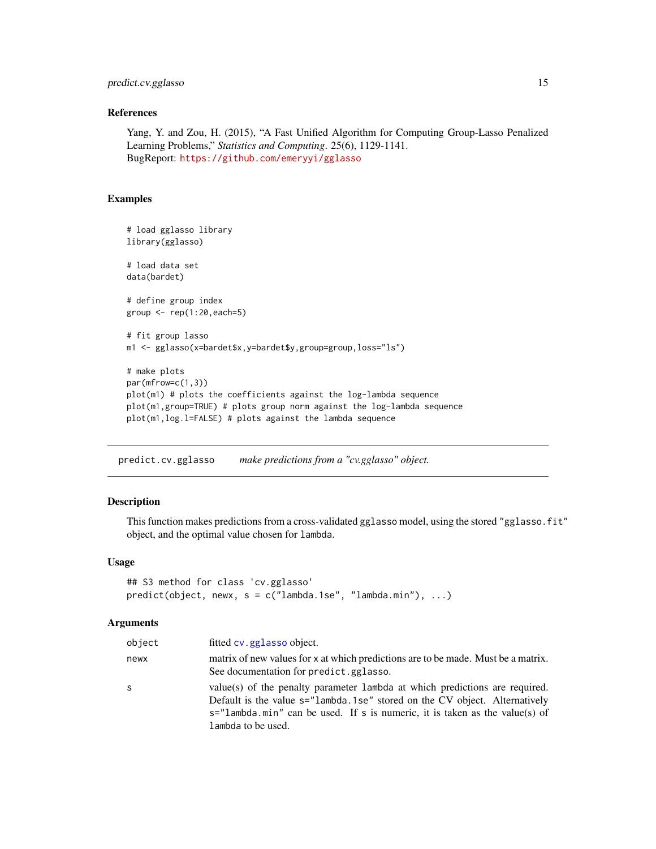# <span id="page-14-0"></span>predict.cv.gglasso 15

# References

Yang, Y. and Zou, H. (2015), "A Fast Unified Algorithm for Computing Group-Lasso Penalized Learning Problems," *Statistics and Computing*. 25(6), 1129-1141. BugReport: <https://github.com/emeryyi/gglasso>

#### Examples

```
# load gglasso library
library(gglasso)
# load data set
data(bardet)
# define group index
group \leftarrow rep(1:20, each=5)# fit group lasso
m1 <- gglasso(x=bardet$x,y=bardet$y,group=group,loss="ls")
# make plots
par(mfrow=c(1,3))
plot(m1) # plots the coefficients against the log-lambda sequence
plot(m1,group=TRUE) # plots group norm against the log-lambda sequence
plot(m1,log.l=FALSE) # plots against the lambda sequence
```
<span id="page-14-1"></span>predict.cv.gglasso *make predictions from a "cv.gglasso" object.*

# Description

This function makes predictions from a cross-validated gglasso model, using the stored "gglasso.fit" object, and the optimal value chosen for lambda.

#### Usage

```
## S3 method for class 'cv.gglasso'
predict(object, newx, s = c("lambda.1se", "lambda.mbda.min"), ...)
```
#### Arguments

| object | fitted cv. gglasso object.                                                                                                                                                                                                                                         |
|--------|--------------------------------------------------------------------------------------------------------------------------------------------------------------------------------------------------------------------------------------------------------------------|
| newx   | matrix of new values for x at which predictions are to be made. Must be a matrix.<br>See documentation for predict.gglasso.                                                                                                                                        |
| S      | value(s) of the penalty parameter lambda at which predictions are required.<br>Default is the value s="lambda.1se" stored on the CV object. Alternatively<br>$s =$ "lambda.min" can be used. If s is numeric, it is taken as the value(s) of<br>lambda to be used. |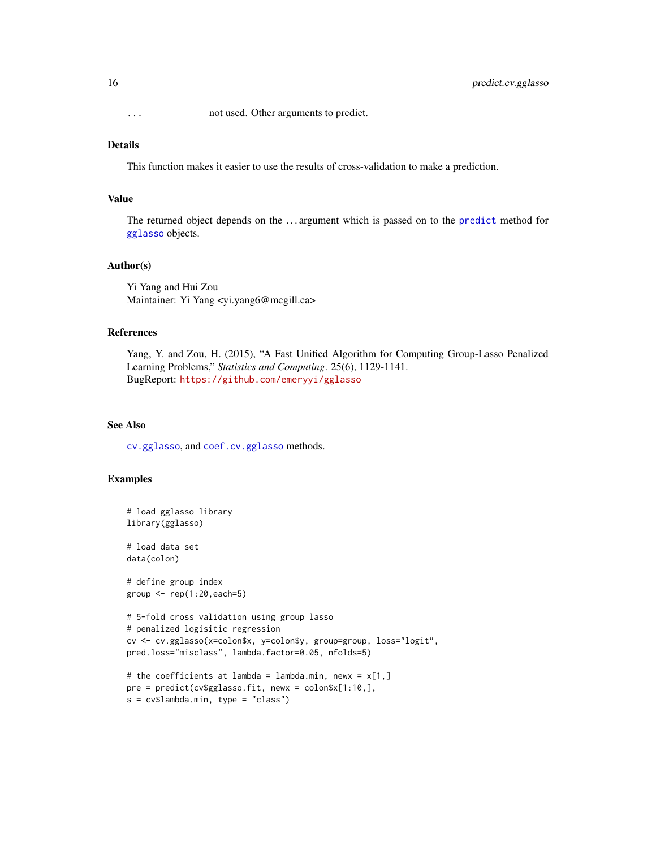<span id="page-15-0"></span>... not used. Other arguments to predict.

# Details

This function makes it easier to use the results of cross-validation to make a prediction.

#### Value

The returned object depends on the . . . argument which is passed on to the [predict](#page-0-0) method for [gglasso](#page-9-1) objects.

#### Author(s)

Yi Yang and Hui Zou Maintainer: Yi Yang <yi.yang6@mcgill.ca>

#### References

Yang, Y. and Zou, H. (2015), "A Fast Unified Algorithm for Computing Group-Lasso Penalized Learning Problems," *Statistics and Computing*. 25(6), 1129-1141. BugReport: <https://github.com/emeryyi/gglasso>

#### See Also

[cv.gglasso](#page-6-1), and [coef.cv.gglasso](#page-2-1) methods.

# Examples

```
# load gglasso library
library(gglasso)
# load data set
data(colon)
# define group index
group \leq rep(1:20, each=5)
# 5-fold cross validation using group lasso
# penalized logisitic regression
cv <- cv.gglasso(x=colon$x, y=colon$y, group=group, loss="logit",
pred.loss="misclass", lambda.factor=0.05, nfolds=5)
# the coefficients at lambda = lambda.min, newx = x[1,]pre = predict(cv$gglasso.fit, newx = colon$x[1:10,],
```

```
s = cv$lambda.min, type = "class")
```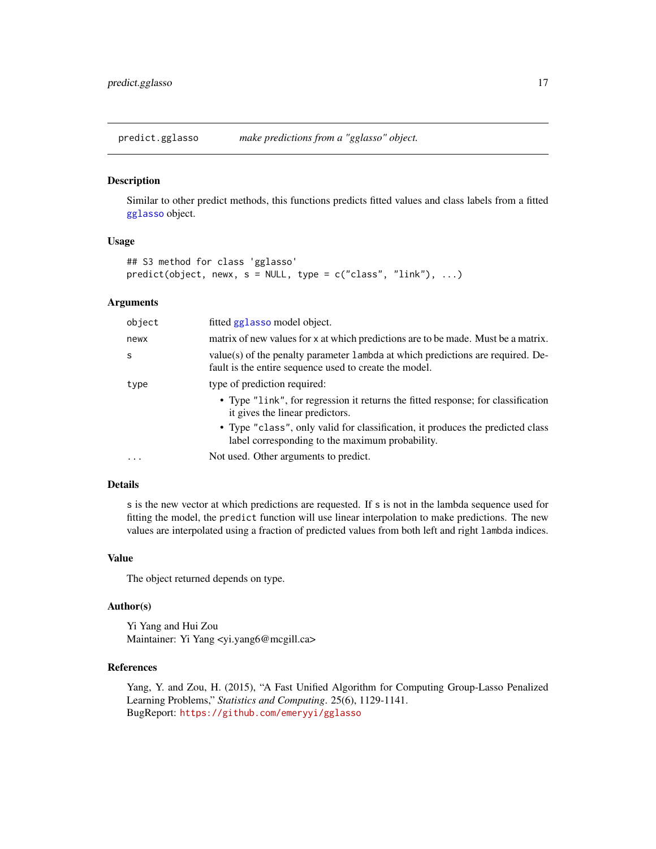<span id="page-16-1"></span><span id="page-16-0"></span>predict.gglasso *make predictions from a "gglasso" object.*

#### Description

Similar to other predict methods, this functions predicts fitted values and class labels from a fitted [gglasso](#page-9-1) object.

# Usage

```
## S3 method for class 'gglasso'
predict(object, newx, s = NULL, type = c("class", "link"), ...)
```
#### Arguments

| object    | fitted gglasso model object.                                                                                                               |  |
|-----------|--------------------------------------------------------------------------------------------------------------------------------------------|--|
| newx      | matrix of new values for x at which predictions are to be made. Must be a matrix.                                                          |  |
| S         | value(s) of the penalty parameter 1 ambda at which predictions are required. De-<br>fault is the entire sequence used to create the model. |  |
| type      | type of prediction required:                                                                                                               |  |
|           | • Type "link", for regression it returns the fitted response; for classification<br>it gives the linear predictors.                        |  |
|           | • Type "class", only valid for classification, it produces the predicted class<br>label corresponding to the maximum probability.          |  |
| $\ddotsc$ | Not used. Other arguments to predict.                                                                                                      |  |

# Details

s is the new vector at which predictions are requested. If s is not in the lambda sequence used for fitting the model, the predict function will use linear interpolation to make predictions. The new values are interpolated using a fraction of predicted values from both left and right lambda indices.

#### Value

The object returned depends on type.

# Author(s)

Yi Yang and Hui Zou Maintainer: Yi Yang <yi.yang6@mcgill.ca>

#### References

Yang, Y. and Zou, H. (2015), "A Fast Unified Algorithm for Computing Group-Lasso Penalized Learning Problems," *Statistics and Computing*. 25(6), 1129-1141. BugReport: <https://github.com/emeryyi/gglasso>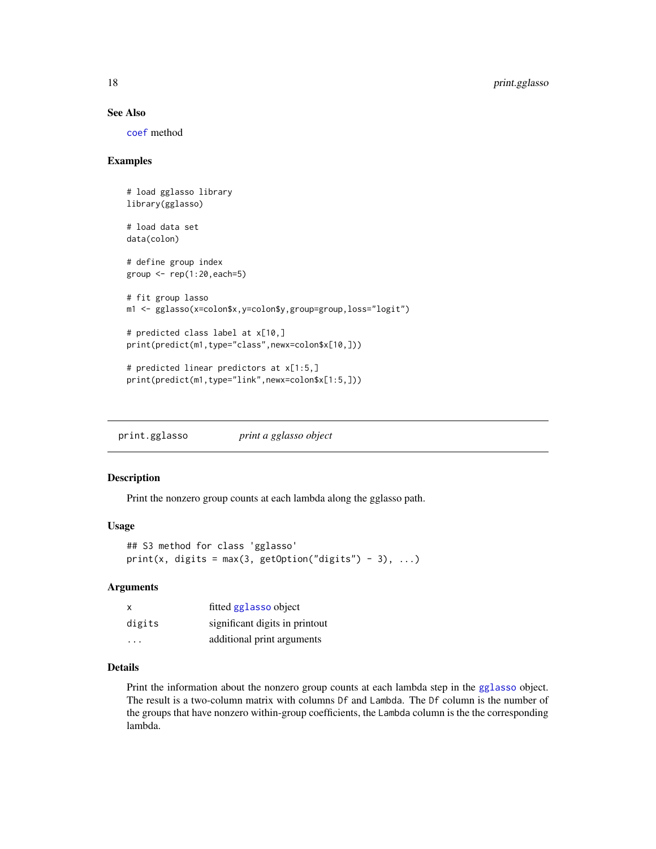#### See Also

[coef](#page-0-0) method

# Examples

```
# load gglasso library
library(gglasso)
# load data set
data(colon)
# define group index
group \leq rep(1:20, each=5)
# fit group lasso
m1 <- gglasso(x=colon$x,y=colon$y,group=group,loss="logit")
# predicted class label at x[10,]
print(predict(m1,type="class",newx=colon$x[10,]))
# predicted linear predictors at x[1:5,]
print(predict(m1,type="link",newx=colon$x[1:5,]))
```
print.gglasso *print a gglasso object*

#### Description

Print the nonzero group counts at each lambda along the gglasso path.

#### Usage

```
## S3 method for class 'gglasso'
print(x, digits = max(3, getOption("digits") - 3), ...)
```
#### Arguments

| X      | fitted gglasso object          |
|--------|--------------------------------|
| digits | significant digits in printout |
| .      | additional print arguments     |

# Details

Print the information about the nonzero group counts at each lambda step in the [gglasso](#page-9-1) object. The result is a two-column matrix with columns Df and Lambda. The Df column is the number of the groups that have nonzero within-group coefficients, the Lambda column is the the corresponding lambda.

<span id="page-17-0"></span>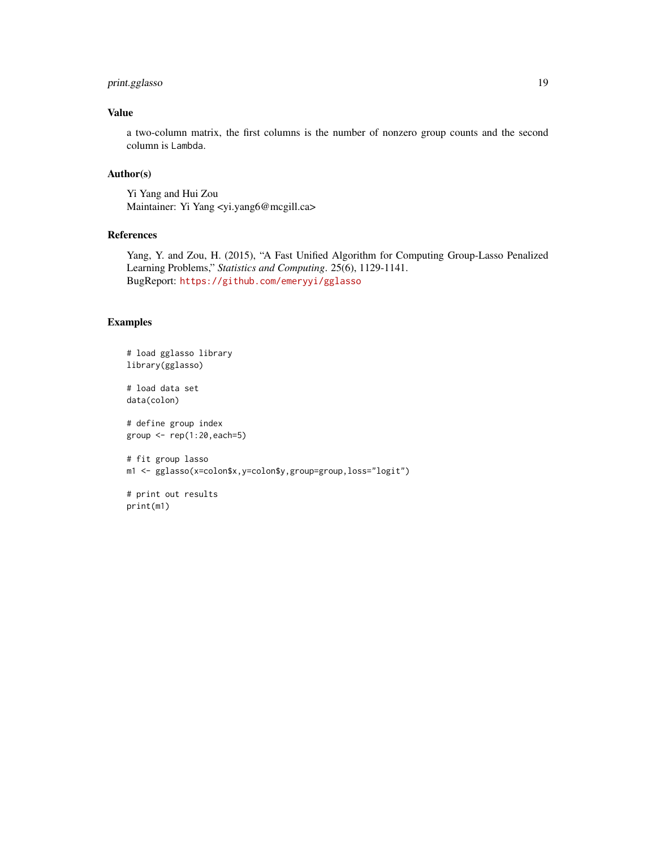# print.gglasso 19

# Value

a two-column matrix, the first columns is the number of nonzero group counts and the second column is Lambda.

# Author(s)

Yi Yang and Hui Zou Maintainer: Yi Yang <yi.yang6@mcgill.ca>

# References

Yang, Y. and Zou, H. (2015), "A Fast Unified Algorithm for Computing Group-Lasso Penalized Learning Problems," *Statistics and Computing*. 25(6), 1129-1141. BugReport: <https://github.com/emeryyi/gglasso>

#### Examples

print(m1)

```
# load gglasso library
library(gglasso)
# load data set
data(colon)
# define group index
group \leq rep(1:20, each=5)
# fit group lasso
m1 <- gglasso(x=colon$x,y=colon$y,group=group,loss="logit")
# print out results
```